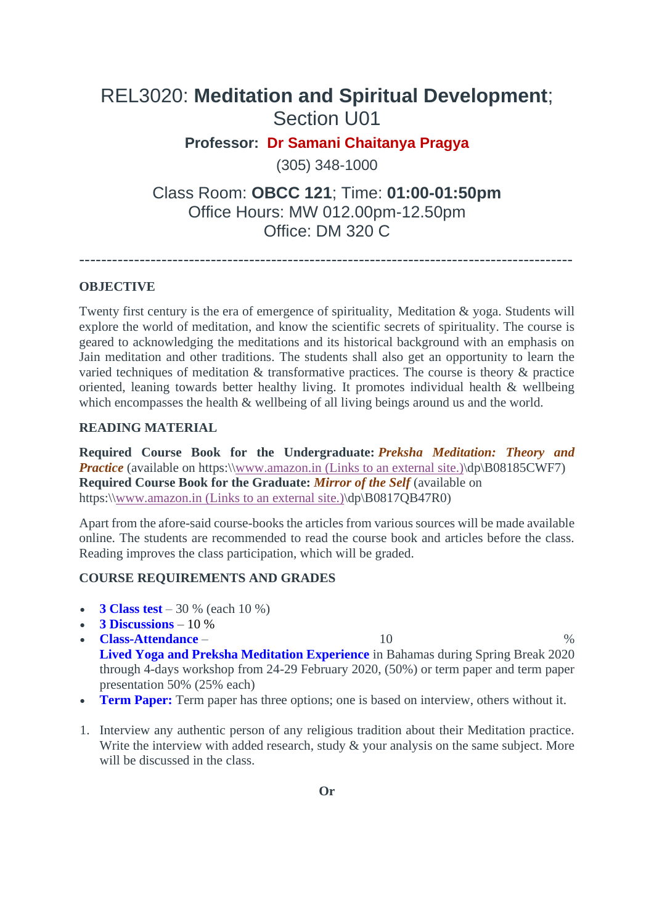# REL3020: **Meditation and Spiritual Development**; Section U01

**Professor: Dr Samani Chaitanya Pragya**

(305) 348-1000

Class Room: **OBCC 121**; Time: **01:00-01:50pm** Office Hours: MW 012.00pm-12.50pm Office: DM 320 C

------------------------------------------------------------------------------------------

## **OBJECTIVE**

Twenty first century is the era of emergence of spirituality, Meditation & yoga. Students will explore the world of meditation, and know the scientific secrets of spirituality. The course is geared to acknowledging the meditations and its historical background with an emphasis on Jain meditation and other traditions. The students shall also get an opportunity to learn the varied techniques of meditation & transformative practices. The course is theory & practice oriented, leaning towards better healthy living. It promotes individual health & wellbeing which encompasses the health  $\&$  wellbeing of all living beings around us and the world.

### **READING MATERIAL**

**Required Course Book for the Undergraduate:** *Preksha Meditation: Theory and Practice* (available on https:\[\www.amazon.in](http://www.amazon.in/) (Links to an external site.)\dp\B08185CWF7) **Required Course Book for the Graduate:** *Mirror of the Self* (available on https:\[\www.amazon.in](http://www.amazon.in/) (Links to an external site.)\dp\B0817QB47R0)

Apart from the afore-said course-books the articles from various sources will be made available online. The students are recommended to read the course book and articles before the class. Reading improves the class participation, which will be graded.

## **COURSE REQUIREMENTS AND GRADES**

- **3 Class test** 30 % (each 10 %)
- **3 Discussions** 10 %
- **Class-Attendance** 10 % **Lived Yoga and Preksha Meditation Experience** in Bahamas during Spring Break 2020 through 4-days workshop from 24-29 February 2020, (50%) or term paper and term paper presentation 50% (25% each)
- **Term Paper:** Term paper has three options; one is based on interview, others without it.
- 1. Interview any authentic person of any religious tradition about their Meditation practice. Write the interview with added research, study & your analysis on the same subject. More will be discussed in the class.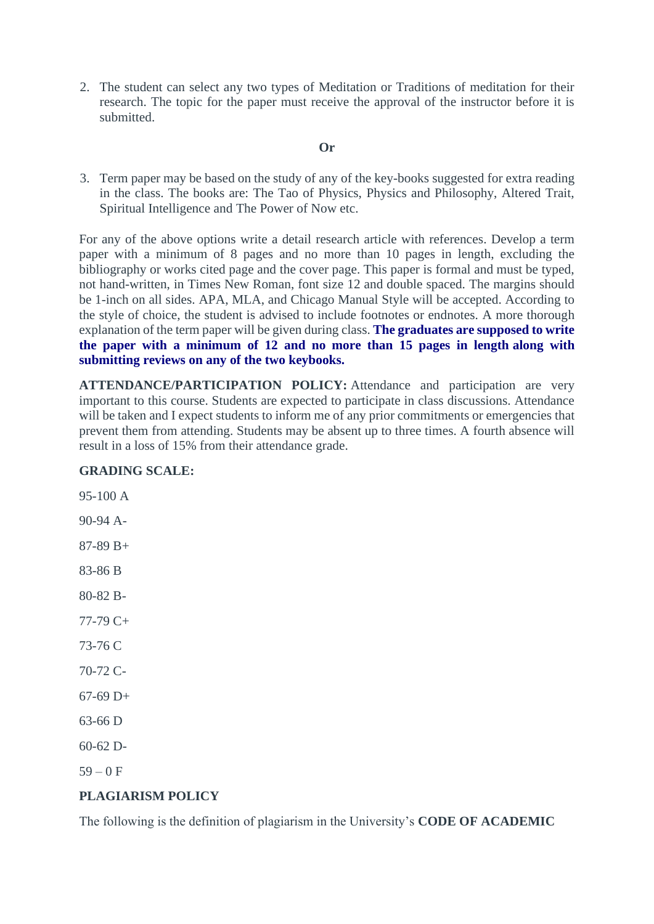2. The student can select any two types of Meditation or Traditions of meditation for their research. The topic for the paper must receive the approval of the instructor before it is submitted.

#### **Or**

3. Term paper may be based on the study of any of the key-books suggested for extra reading in the class. The books are: The Tao of Physics, Physics and Philosophy, Altered Trait, Spiritual Intelligence and The Power of Now etc.

For any of the above options write a detail research article with references. Develop a term paper with a minimum of 8 pages and no more than 10 pages in length, excluding the bibliography or works cited page and the cover page. This paper is formal and must be typed, not hand-written, in Times New Roman, font size 12 and double spaced. The margins should be 1-inch on all sides. APA, MLA, and Chicago Manual Style will be accepted. According to the style of choice, the student is advised to include footnotes or endnotes. A more thorough explanation of the term paper will be given during class. **The graduates are supposed to write the paper with a minimum of 12 and no more than 15 pages in length along with submitting reviews on any of the two keybooks.**

**ATTENDANCE/PARTICIPATION POLICY:** Attendance and participation are very important to this course. Students are expected to participate in class discussions. Attendance will be taken and I expect students to inform me of any prior commitments or emergencies that prevent them from attending. Students may be absent up to three times. A fourth absence will result in a loss of 15% from their attendance grade.

#### **GRADING SCALE:**

95-100 A 90-94 A-87-89 B+ 83-86 B 80-82 B-77-79 C+ 73-76 C 70-72 C-67-69 D+ 63-66 D 60-62 D- $59 - 0 F$ 

## **PLAGIARISM POLICY**

The following is the definition of plagiarism in the University's **CODE OF ACADEMIC**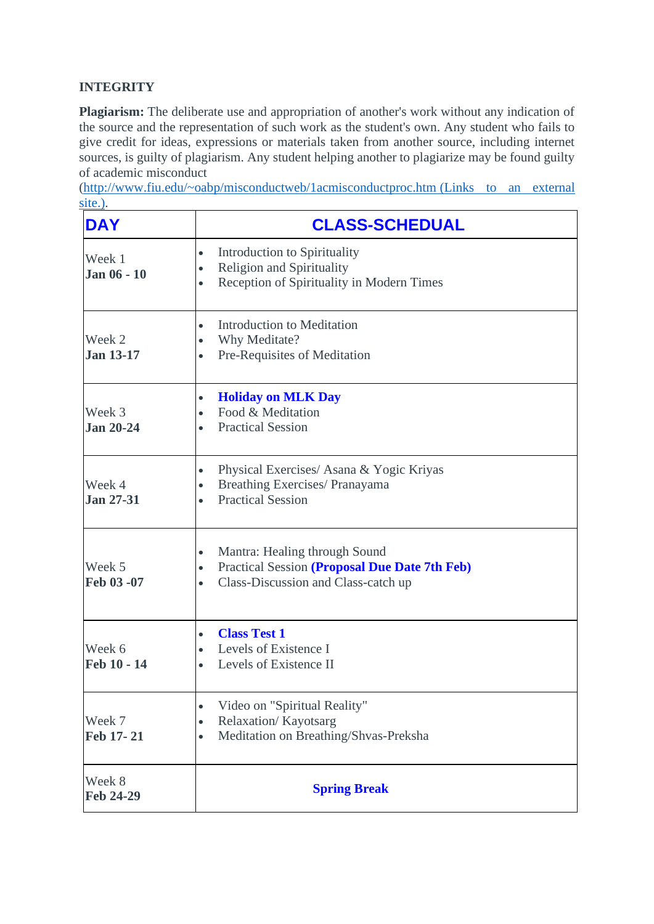## **INTEGRITY**

**Plagiarism:** The deliberate use and appropriation of another's work without any indication of the source and the representation of such work as the student's own. Any student who fails to give credit for ideas, expressions or materials taken from another source, including internet sources, is guilty of plagiarism. Any student helping another to plagiarize may be found guilty of academic misconduct

[\(http://www.fiu.edu/~oabp/misconductweb/1acmisconductproc.htm](http://www.fiu.edu/~oabp/misconductweb/1acmisconductproc.htm (Links%20to%20an%20external%20site.)) (Links to an external [site.\).](http://www.fiu.edu/~oabp/misconductweb/1acmisconductproc.htm (Links%20to%20an%20external%20site.))

| <b>DAY</b>                   | <b>CLASS-SCHEDUAL</b>                                                                                                                                        |
|------------------------------|--------------------------------------------------------------------------------------------------------------------------------------------------------------|
| Week 1<br><b>Jan 06 - 10</b> | Introduction to Spirituality<br>$\bullet$<br><b>Religion and Spirituality</b><br>$\bullet$<br>Reception of Spirituality in Modern Times<br>$\bullet$         |
| Week 2<br><b>Jan 13-17</b>   | Introduction to Meditation<br>$\bullet$<br>Why Meditate?<br>$\bullet$<br>Pre-Requisites of Meditation<br>$\bullet$                                           |
| Week 3<br><b>Jan 20-24</b>   | <b>Holiday on MLK Day</b><br>$\bullet$<br>Food & Meditation<br>$\bullet$<br><b>Practical Session</b>                                                         |
| Week 4<br><b>Jan 27-31</b>   | Physical Exercises/ Asana & Yogic Kriyas<br>$\bullet$<br>Breathing Exercises/ Pranayama<br>$\bullet$<br><b>Practical Session</b>                             |
| Week 5<br>Feb 03 -07         | Mantra: Healing through Sound<br>$\bullet$<br>Practical Session (Proposal Due Date 7th Feb)<br>$\bullet$<br>Class-Discussion and Class-catch up<br>$\bullet$ |
| Week 6<br>Feb 10 - 14        | <b>Class Test 1</b><br>$\bullet$<br>Levels of Existence I<br>$\bullet$<br>Levels of Existence II                                                             |
| Week 7<br>Feb 17-21          | Video on "Spiritual Reality"<br>$\bullet$<br>Relaxation/Kayotsarg<br>$\bullet$<br>Meditation on Breathing/Shvas-Preksha<br>$\bullet$                         |
| Week 8<br>Feb 24-29          | <b>Spring Break</b>                                                                                                                                          |